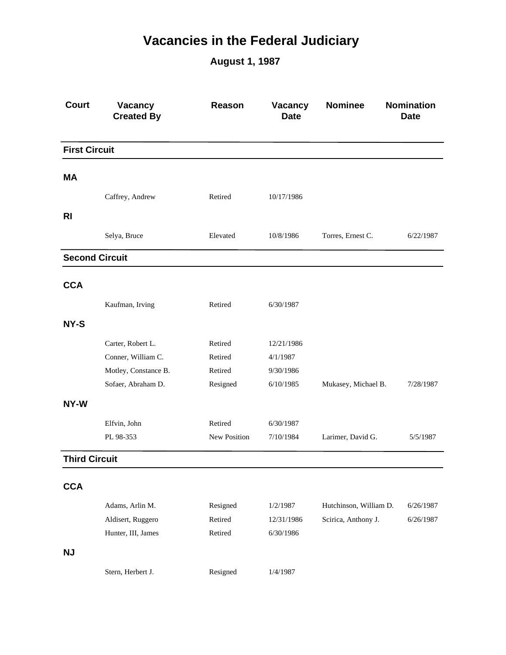## **Vacancies in the Federal Judiciary**

**August 1, 1987**

| <b>Court</b>          | Vacancy<br><b>Created By</b> | Reason       | Vacancy<br><b>Date</b> | <b>Nominee</b>         | <b>Nomination</b><br><b>Date</b> |
|-----------------------|------------------------------|--------------|------------------------|------------------------|----------------------------------|
| <b>First Circuit</b>  |                              |              |                        |                        |                                  |
| ΜA                    |                              |              |                        |                        |                                  |
|                       |                              |              |                        |                        |                                  |
|                       | Caffrey, Andrew              | Retired      | 10/17/1986             |                        |                                  |
| <b>RI</b>             |                              |              |                        |                        |                                  |
|                       | Selya, Bruce                 | Elevated     | 10/8/1986              | Torres, Ernest C.      | 6/22/1987                        |
| <b>Second Circuit</b> |                              |              |                        |                        |                                  |
| <b>CCA</b>            |                              |              |                        |                        |                                  |
|                       |                              |              |                        |                        |                                  |
|                       | Kaufman, Irving              | Retired      | 6/30/1987              |                        |                                  |
| NY-S                  |                              |              |                        |                        |                                  |
|                       | Carter, Robert L.            | Retired      | 12/21/1986             |                        |                                  |
|                       | Conner, William C.           | Retired      | 4/1/1987               |                        |                                  |
|                       | Motley, Constance B.         | Retired      | 9/30/1986              |                        |                                  |
|                       | Sofaer, Abraham D.           | Resigned     | 6/10/1985              | Mukasey, Michael B.    | 7/28/1987                        |
| NY-W                  |                              |              |                        |                        |                                  |
|                       | Elfvin, John                 | Retired      | 6/30/1987              |                        |                                  |
|                       | PL 98-353                    | New Position | 7/10/1984              | Larimer, David G.      | 5/5/1987                         |
| <b>Third Circuit</b>  |                              |              |                        |                        |                                  |
| <b>CCA</b>            |                              |              |                        |                        |                                  |
|                       | Adams, Arlin M.              | Resigned     | 1/2/1987               | Hutchinson, William D. | 6/26/1987                        |
|                       | Aldisert, Ruggero            | Retired      | 12/31/1986             | Scirica, Anthony J.    | 6/26/1987                        |
|                       | Hunter, III, James           | Retired      | 6/30/1986              |                        |                                  |
|                       |                              |              |                        |                        |                                  |
| <b>NJ</b>             |                              |              |                        |                        |                                  |
|                       | Stern, Herbert J.            | Resigned     | 1/4/1987               |                        |                                  |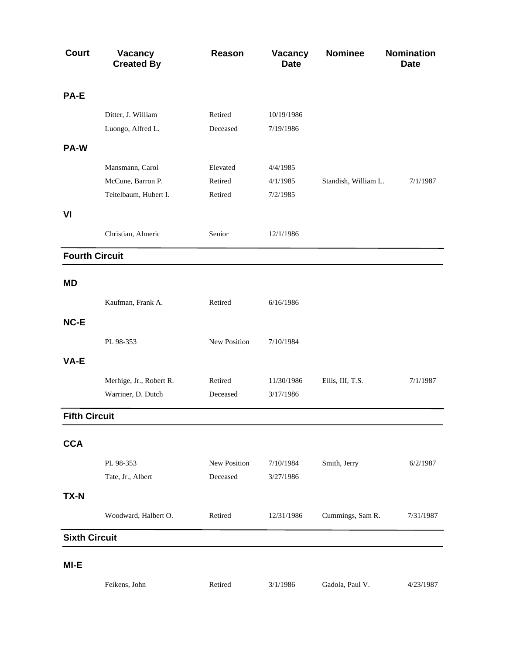| <b>Court</b>          | <b>Vacancy</b><br><b>Created By</b> | Reason       | <b>Vacancy</b><br><b>Date</b> | <b>Nominee</b>       | <b>Nomination</b><br><b>Date</b> |
|-----------------------|-------------------------------------|--------------|-------------------------------|----------------------|----------------------------------|
| PA-E                  |                                     |              |                               |                      |                                  |
|                       | Ditter, J. William                  | Retired      | 10/19/1986                    |                      |                                  |
|                       | Luongo, Alfred L.                   | Deceased     | 7/19/1986                     |                      |                                  |
| PA-W                  |                                     |              |                               |                      |                                  |
|                       | Mansmann, Carol                     | Elevated     | 4/4/1985                      |                      |                                  |
|                       | McCune, Barron P.                   | Retired      | 4/1/1985                      | Standish, William L. | 7/1/1987                         |
|                       | Teitelbaum, Hubert I.               | Retired      | 7/2/1985                      |                      |                                  |
| VI                    |                                     |              |                               |                      |                                  |
|                       | Christian, Almeric                  | Senior       | 12/1/1986                     |                      |                                  |
| <b>Fourth Circuit</b> |                                     |              |                               |                      |                                  |
| <b>MD</b>             |                                     |              |                               |                      |                                  |
|                       | Kaufman, Frank A.                   | Retired      | 6/16/1986                     |                      |                                  |
| NC-E                  |                                     |              |                               |                      |                                  |
|                       | PL 98-353                           | New Position | 7/10/1984                     |                      |                                  |
| VA-E                  |                                     |              |                               |                      |                                  |
|                       | Merhige, Jr., Robert R.             | Retired      | 11/30/1986                    | Ellis, III, T.S.     | 7/1/1987                         |
|                       | Warriner, D. Dutch                  | Deceased     | 3/17/1986                     |                      |                                  |
| <b>Fifth Circuit</b>  |                                     |              |                               |                      |                                  |
| <b>CCA</b>            |                                     |              |                               |                      |                                  |
|                       | PL 98-353                           | New Position | 7/10/1984                     | Smith, Jerry         | 6/2/1987                         |
|                       | Tate, Jr., Albert                   | Deceased     | 3/27/1986                     |                      |                                  |
| <b>TX-N</b>           |                                     |              |                               |                      |                                  |
|                       | Woodward, Halbert O.                | Retired      | 12/31/1986                    | Cummings, Sam R.     | 7/31/1987                        |
| <b>Sixth Circuit</b>  |                                     |              |                               |                      |                                  |
| MI-E                  |                                     |              |                               |                      |                                  |
|                       | Feikens, John                       | Retired      | 3/1/1986                      | Gadola, Paul V.      | 4/23/1987                        |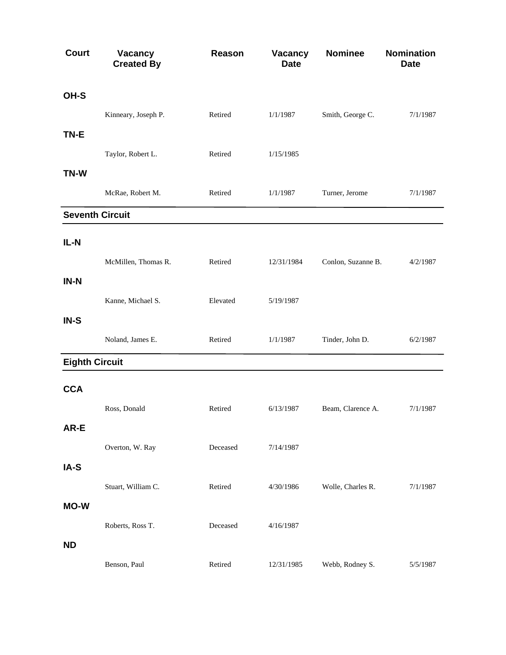| <b>Court</b>          | Vacancy<br><b>Created By</b> | Reason   | Vacancy<br><b>Date</b> | <b>Nominee</b>     | Nomination<br><b>Date</b> |
|-----------------------|------------------------------|----------|------------------------|--------------------|---------------------------|
| OH-S                  |                              |          |                        |                    |                           |
|                       | Kinneary, Joseph P.          | Retired  | 1/1/1987               | Smith, George C.   | 7/1/1987                  |
| TN-E                  |                              |          |                        |                    |                           |
|                       | Taylor, Robert L.            | Retired  | 1/15/1985              |                    |                           |
| TN-W                  |                              |          |                        |                    |                           |
|                       | McRae, Robert M.             | Retired  | 1/1/1987               | Turner, Jerome     | 7/1/1987                  |
|                       | <b>Seventh Circuit</b>       |          |                        |                    |                           |
| $IL-N$                |                              |          |                        |                    |                           |
|                       | McMillen, Thomas R.          | Retired  | 12/31/1984             | Conlon, Suzanne B. | 4/2/1987                  |
| IN-N                  |                              |          |                        |                    |                           |
|                       | Kanne, Michael S.            | Elevated | 5/19/1987              |                    |                           |
| IN-S                  |                              |          |                        |                    |                           |
|                       | Noland, James E.             | Retired  | 1/1/1987               | Tinder, John D.    | 6/2/1987                  |
| <b>Eighth Circuit</b> |                              |          |                        |                    |                           |
| <b>CCA</b>            |                              |          |                        |                    |                           |
|                       | Ross, Donald                 | Retired  | 6/13/1987              | Beam, Clarence A.  | 7/1/1987                  |
| AR-E                  |                              |          |                        |                    |                           |
|                       | Overton, W. Ray              | Deceased | 7/14/1987              |                    |                           |
| IA-S                  |                              |          |                        |                    |                           |
|                       | Stuart, William C.           | Retired  | 4/30/1986              | Wolle, Charles R.  | 7/1/1987                  |
| <b>MO-W</b>           |                              |          |                        |                    |                           |
|                       | Roberts, Ross T.             | Deceased | 4/16/1987              |                    |                           |
| <b>ND</b>             |                              |          |                        |                    |                           |
|                       | Benson, Paul                 | Retired  | 12/31/1985             | Webb, Rodney S.    | 5/5/1987                  |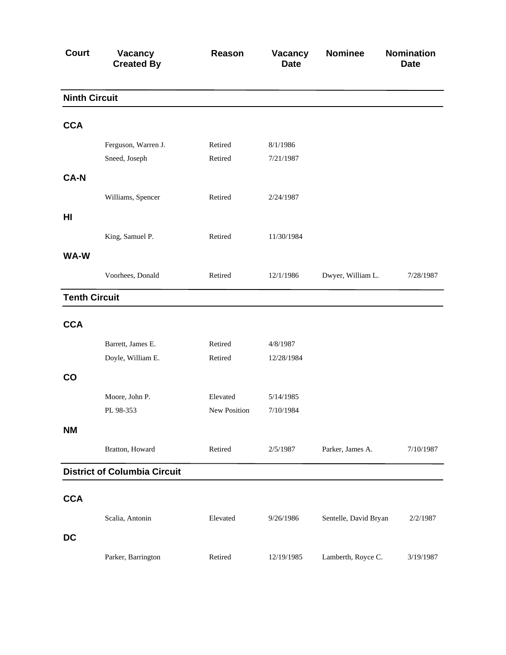| <b>Court</b>         | Vacancy<br><b>Created By</b>        | Reason       | Vacancy<br><b>Date</b> | <b>Nominee</b>        | <b>Nomination</b><br><b>Date</b> |
|----------------------|-------------------------------------|--------------|------------------------|-----------------------|----------------------------------|
| <b>Ninth Circuit</b> |                                     |              |                        |                       |                                  |
| <b>CCA</b>           |                                     |              |                        |                       |                                  |
|                      | Ferguson, Warren J.                 | Retired      | 8/1/1986               |                       |                                  |
|                      | Sneed, Joseph                       | Retired      | 7/21/1987              |                       |                                  |
| <b>CA-N</b>          |                                     |              |                        |                       |                                  |
|                      | Williams, Spencer                   | Retired      | 2/24/1987              |                       |                                  |
| HI                   |                                     |              |                        |                       |                                  |
|                      | King, Samuel P.                     | Retired      | 11/30/1984             |                       |                                  |
| WA-W                 |                                     |              |                        |                       |                                  |
|                      | Voorhees, Donald                    | Retired      | 12/1/1986              | Dwyer, William L.     | 7/28/1987                        |
| <b>Tenth Circuit</b> |                                     |              |                        |                       |                                  |
| <b>CCA</b>           |                                     |              |                        |                       |                                  |
|                      | Barrett, James E.                   | Retired      | 4/8/1987               |                       |                                  |
|                      | Doyle, William E.                   | Retired      | 12/28/1984             |                       |                                  |
| CO                   |                                     |              |                        |                       |                                  |
|                      | Moore, John P.                      | Elevated     | 5/14/1985              |                       |                                  |
|                      | PL 98-353                           | New Position | 7/10/1984              |                       |                                  |
| <b>NM</b>            |                                     |              |                        |                       |                                  |
|                      | Bratton, Howard                     | Retired      | 2/5/1987               | Parker, James A.      | 7/10/1987                        |
|                      | <b>District of Columbia Circuit</b> |              |                        |                       |                                  |
|                      |                                     |              |                        |                       |                                  |
| <b>CCA</b>           |                                     |              |                        |                       |                                  |
|                      | Scalia, Antonin                     | Elevated     | 9/26/1986              | Sentelle, David Bryan | 2/2/1987                         |
| <b>DC</b>            |                                     |              |                        |                       |                                  |
|                      | Parker, Barrington                  | Retired      | 12/19/1985             | Lamberth, Royce C.    | 3/19/1987                        |